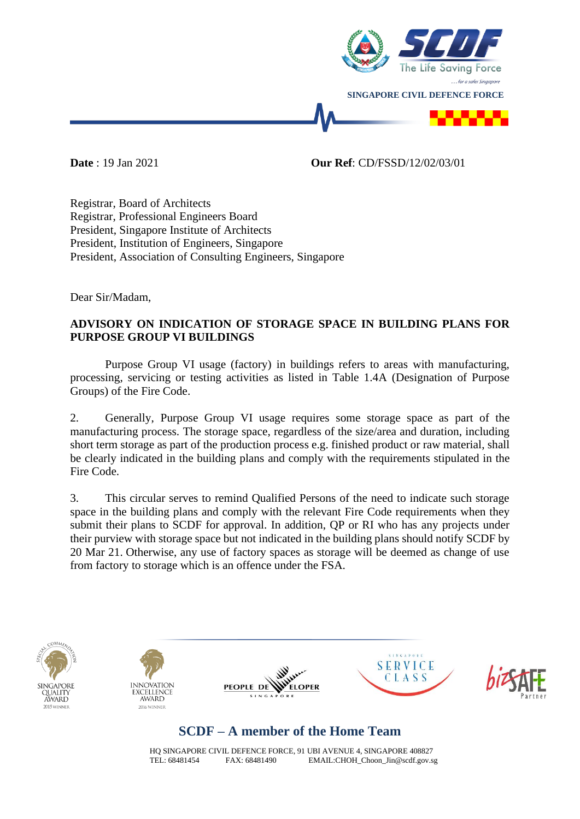

**Date** : 19 Jan 2021 **Our Ref**: CD/FSSD/12/02/03/01

Registrar, Board of Architects Registrar, Professional Engineers Board President, Singapore Institute of Architects President, Institution of Engineers, Singapore President, Association of Consulting Engineers, Singapore

Dear Sir/Madam,

## **ADVISORY ON INDICATION OF STORAGE SPACE IN BUILDING PLANS FOR PURPOSE GROUP VI BUILDINGS**

Purpose Group VI usage (factory) in buildings refers to areas with manufacturing, processing, servicing or testing activities as listed in Table 1.4A (Designation of Purpose Groups) of the Fire Code.

2. Generally, Purpose Group VI usage requires some storage space as part of the manufacturing process. The storage space, regardless of the size/area and duration, including short term storage as part of the production process e.g. finished product or raw material, shall be clearly indicated in the building plans and comply with the requirements stipulated in the Fire Code.

3. This circular serves to remind Qualified Persons of the need to indicate such storage space in the building plans and comply with the relevant Fire Code requirements when they submit their plans to SCDF for approval. In addition, QP or RI who has any projects under their purview with storage space but not indicated in the building plans should notify SCDF by 20 Mar 21. Otherwise, any use of factory spaces as storage will be deemed as change of use from factory to storage which is an offence under the FSA.











## **SCDF – A member of the Home Team**

HQ SINGAPORE CIVIL DEFENCE FORCE, 91 UBI AVENUE 4, SINGAPORE 408827<br>TEL: 68481454 FAX: 68481490 FMAIL: CHOH Choon Jin@scdf gov s  $EMAIL:CHOH_Choon_Jin@scdf.gov.sg$